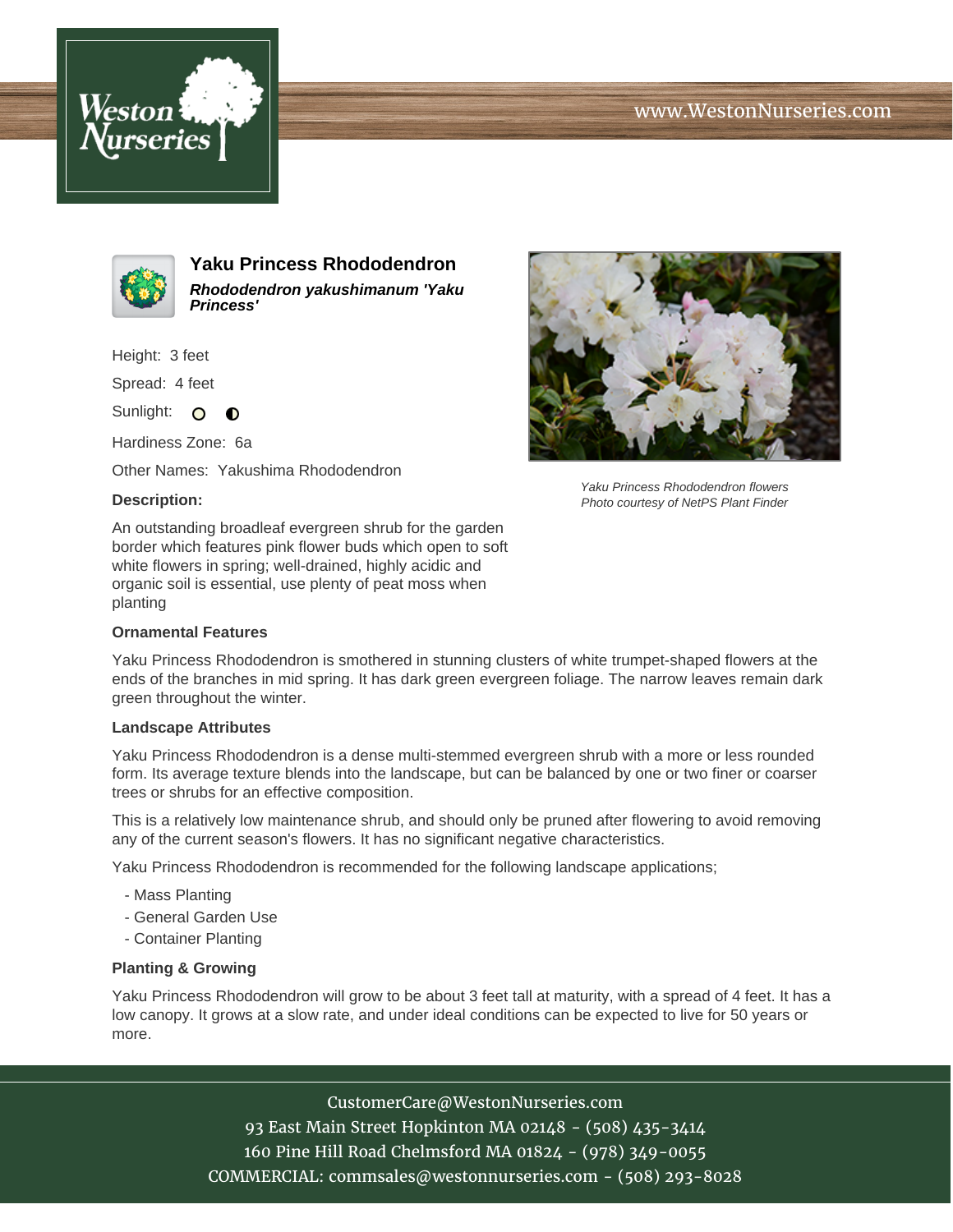





**Yaku Princess Rhododendron Rhododendron yakushimanum 'Yaku Princess'**

Height: 3 feet

Spread: 4 feet

Sunlight: O **O** 

Hardiness Zone: 6a

Other Names: Yakushima Rhododendron

## **Description:**

An outstanding broadleaf evergreen shrub for the garden border which features pink flower buds which open to soft white flowers in spring; well-drained, highly acidic and organic soil is essential, use plenty of peat moss when planting

## **Ornamental Features**

Yaku Princess Rhododendron is smothered in stunning clusters of white trumpet-shaped flowers at the ends of the branches in mid spring. It has dark green evergreen foliage. The narrow leaves remain dark green throughout the winter.

## **Landscape Attributes**

Yaku Princess Rhododendron is a dense multi-stemmed evergreen shrub with a more or less rounded form. Its average texture blends into the landscape, but can be balanced by one or two finer or coarser trees or shrubs for an effective composition.

This is a relatively low maintenance shrub, and should only be pruned after flowering to avoid removing any of the current season's flowers. It has no significant negative characteristics.

Yaku Princess Rhododendron is recommended for the following landscape applications;

- Mass Planting
- General Garden Use
- Container Planting

## **Planting & Growing**

Yaku Princess Rhododendron will grow to be about 3 feet tall at maturity, with a spread of 4 feet. It has a low canopy. It grows at a slow rate, and under ideal conditions can be expected to live for 50 years or more.

CustomerCare@WestonNurseries.com





Yaku Princess Rhododendron flowers Photo courtesy of NetPS Plant Finder